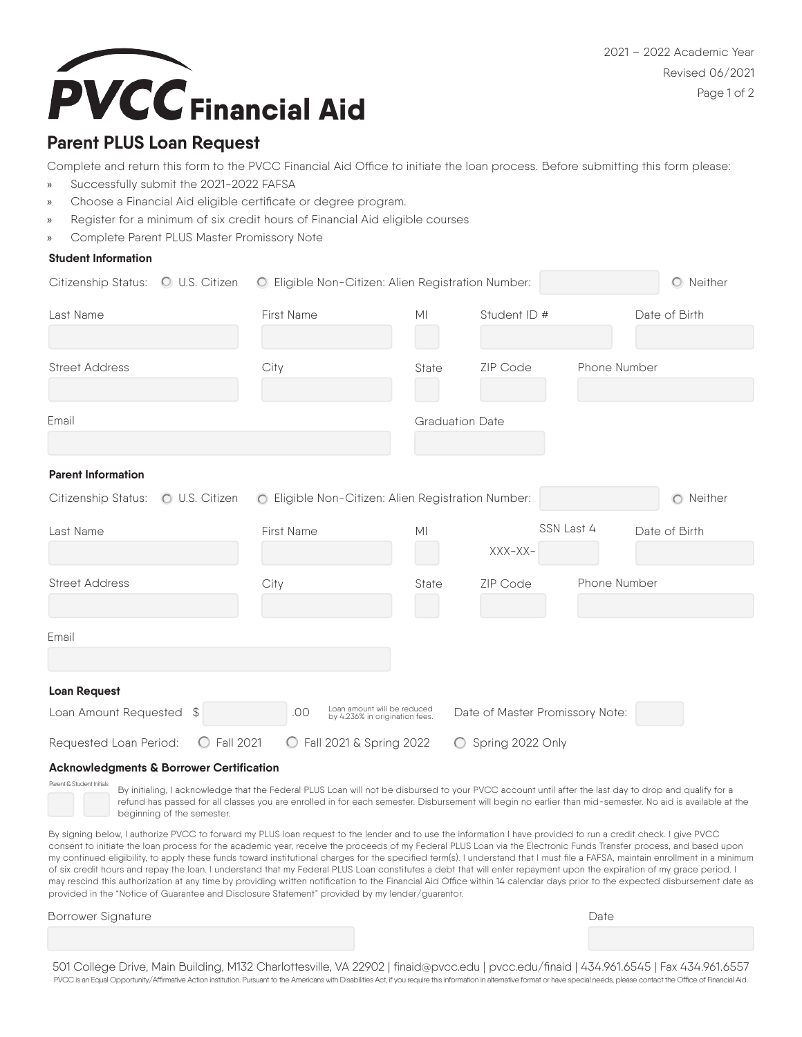



# **Parent PLUS Loan Request**

Complete and return this form to the PVCC Financial Aid Office to initiate the loan process. Before submitting this form please:

- » Successfully submit the 2021-2022 FAFSA
- » Choose a Financial Aid eligible certificate or degree program.
- » Register for a minimum of six credit hours of Financial Aid eligible courses
- » Complete Parent PLUS Master Promissory Note

#### **Student Information**

|                           |                                | Citizenship Status: O U.S. Citizen O Eligible Non-Citizen: Alien Registration Number: | O Neither              |                                 |              |               |
|---------------------------|--------------------------------|---------------------------------------------------------------------------------------|------------------------|---------------------------------|--------------|---------------|
| Last Name                 |                                | First Name                                                                            | M <sub>l</sub>         | Student ID #                    |              | Date of Birth |
| <b>Street Address</b>     |                                | City                                                                                  | State                  | ZIP Code                        | Phone Number |               |
| Email                     |                                |                                                                                       | <b>Graduation Date</b> |                                 |              |               |
| <b>Parent Information</b> |                                |                                                                                       |                        |                                 |              |               |
| Citizenship Status:       | O U.S. Citizen                 | O Eligible Non-Citizen: Alien Registration Number:                                    |                        |                                 |              | O Neither     |
| Last Name                 |                                | First Name                                                                            | M <sub>l</sub>         | SSN Last 4                      |              | Date of Birth |
|                           |                                |                                                                                       |                        | XXX-XX-                         |              |               |
| <b>Street Address</b>     |                                | City                                                                                  | State                  | <b>ZIP Code</b>                 | Phone Number |               |
|                           |                                |                                                                                       |                        |                                 |              |               |
| Email                     |                                |                                                                                       |                        |                                 |              |               |
| <b>Loan Request</b>       |                                |                                                                                       |                        |                                 |              |               |
| Loan Amount Requested \$  |                                | Loan amount will be reduced<br>by 4.236% in origination fees.<br>.00                  |                        | Date of Master Promissory Note: |              |               |
| Requested Loan Period:    | <b>Fall 2021</b><br>$\bigcirc$ | ◯ Fall 2021 & Spring 2022                                                             | $\bigcirc$             | Spring 2022 Only                |              |               |

#### **Acknowledgments & Borrower Certification**

Parent & Student Initials

By initialing, I acknowledge that the Federal PLUS Loan will not be disbursed to your PVCC account until after the last day to drop and qualify for a refund has passed for all classes you are enrolled in for each semester. Disbursement will begin no earlier than mid-semester. No aid is available at the beginning of the semester.

By signing below, I authorize PVCC to forward my PLUS loan request to the lender and to use the information I have provided to run a credit check. I give PVCC consent to initiate the loan process for the academic year, receive the proceeds of my Federal PLUS Loan via the Electronic Funds Transfer process, and based upon my continued eligibility, to apply these funds toward institutional charges for the specified term(s). I understand that I must file a FAFSA, maintain enrollment in a minimum of six credit hours and repay the loan. I understand that my Federal PLUS Loan constitutes a debt that will enter repayment upon the expiration of my grace period. I may rescind this authorization at any time by providing written notification to the Financial Aid Office within 14 calendar days prior to the expected disbursement date as provided in the "Notice of Guarantee and Disclosure Statement" provided by my lender/guarantor.

Borrower Signature **Date** 

501 College Drive, Main Building, M132 Charlottesville, VA 22902 | finaid@pvcc.edu | pvcc.edu/finaid | 434.961.6545 | Fax 434.961.6557 PVCC is an Equal Opportunity/Affirmative Action institution. Pursuant to the Americans with Disabilities Act, if you require this information in alternative format or have special needs, please contact the Office of Financ